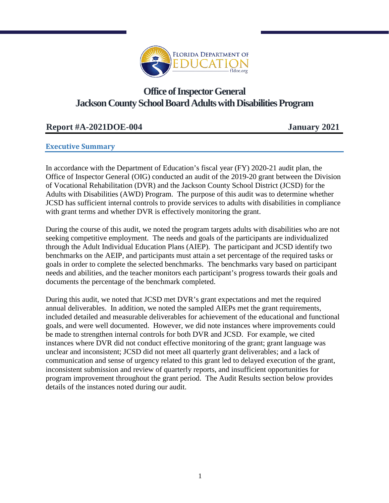

# **Office of Inspector General Jackson County School Board Adults with Disabilities Program**

# **Report #A-2021DOE-004 January 2021**

# **Executive Summary**

In accordance with the Department of Education's fiscal year (FY) 2020-21 audit plan, the Office of Inspector General (OIG) conducted an audit of the 2019-20 grant between the Division of Vocational Rehabilitation (DVR) and the Jackson County School District (JCSD) for the Adults with Disabilities (AWD) Program. The purpose of this audit was to determine whether JCSD has sufficient internal controls to provide services to adults with disabilities in compliance with grant terms and whether DVR is effectively monitoring the grant.

During the course of this audit, we noted the program targets adults with disabilities who are not seeking competitive employment. The needs and goals of the participants are individualized through the Adult Individual Education Plans (AIEP). The participant and JCSD identify two benchmarks on the AEIP, and participants must attain a set percentage of the required tasks or goals in order to complete the selected benchmarks. The benchmarks vary based on participant needs and abilities, and the teacher monitors each participant's progress towards their goals and documents the percentage of the benchmark completed.

During this audit, we noted that JCSD met DVR's grant expectations and met the required annual deliverables. In addition, we noted the sampled AIEPs met the grant requirements, included detailed and measurable deliverables for achievement of the educational and functional goals, and were well documented. However, we did note instances where improvements could be made to strengthen internal controls for both DVR and JCSD. For example, we cited instances where DVR did not conduct effective monitoring of the grant; grant language was unclear and inconsistent; JCSD did not meet all quarterly grant deliverables; and a lack of communication and sense of urgency related to this grant led to delayed execution of the grant, inconsistent submission and review of quarterly reports, and insufficient opportunities for program improvement throughout the grant period. The Audit Results section below provides details of the instances noted during our audit.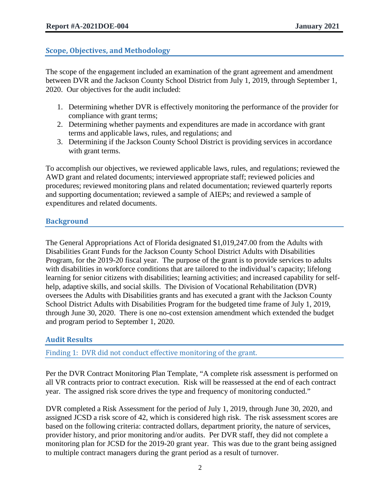### **Scope, Objectives, and Methodology**

The scope of the engagement included an examination of the grant agreement and amendment between DVR and the Jackson County School District from July 1, 2019, through September 1, 2020. Our objectives for the audit included:

- 1. Determining whether DVR is effectively monitoring the performance of the provider for compliance with grant terms;
- 2. Determining whether payments and expenditures are made in accordance with grant terms and applicable laws, rules, and regulations; and
- 3. Determining if the Jackson County School District is providing services in accordance with grant terms.

To accomplish our objectives, we reviewed applicable laws, rules, and regulations; reviewed the AWD grant and related documents; interviewed appropriate staff; reviewed policies and procedures; reviewed monitoring plans and related documentation; reviewed quarterly reports and supporting documentation; reviewed a sample of AIEPs; and reviewed a sample of expenditures and related documents.

# **Background**

The General Appropriations Act of Florida designated \$1,019,247.00 from the Adults with Disabilities Grant Funds for the Jackson County School District Adults with Disabilities Program, for the 2019-20 fiscal year. The purpose of the grant is to provide services to adults with disabilities in workforce conditions that are tailored to the individual's capacity; lifelong learning for senior citizens with disabilities; learning activities; and increased capability for selfhelp, adaptive skills, and social skills. The Division of Vocational Rehabilitation (DVR) oversees the Adults with Disabilities grants and has executed a grant with the Jackson County School District Adults with Disabilities Program for the budgeted time frame of July 1, 2019, through June 30, 2020. There is one no-cost extension amendment which extended the budget and program period to September 1, 2020.

### **Audit Results**

Finding 1: DVR did not conduct effective monitoring of the grant.

Per the DVR Contract Monitoring Plan Template, "A complete risk assessment is performed on all VR contracts prior to contract execution. Risk will be reassessed at the end of each contract year. The assigned risk score drives the type and frequency of monitoring conducted."

DVR completed a Risk Assessment for the period of July 1, 2019, through June 30, 2020, and assigned JCSD a risk score of 42, which is considered high risk. The risk assessment scores are based on the following criteria: contracted dollars, department priority, the nature of services, provider history, and prior monitoring and/or audits. Per DVR staff, they did not complete a monitoring plan for JCSD for the 2019-20 grant year. This was due to the grant being assigned to multiple contract managers during the grant period as a result of turnover.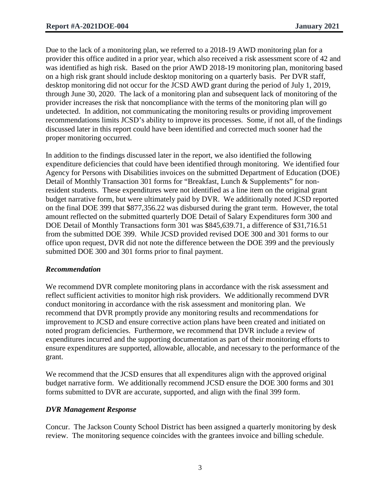Due to the lack of a monitoring plan, we referred to a 2018-19 AWD monitoring plan for a provider this office audited in a prior year, which also received a risk assessment score of 42 and was identified as high risk. Based on the prior AWD 2018-19 monitoring plan, monitoring based on a high risk grant should include desktop monitoring on a quarterly basis. Per DVR staff, desktop monitoring did not occur for the JCSD AWD grant during the period of July 1, 2019, through June 30, 2020. The lack of a monitoring plan and subsequent lack of monitoring of the provider increases the risk that noncompliance with the terms of the monitoring plan will go undetected. In addition, not communicating the monitoring results or providing improvement recommendations limits JCSD's ability to improve its processes. Some, if not all, of the findings discussed later in this report could have been identified and corrected much sooner had the proper monitoring occurred.

In addition to the findings discussed later in the report, we also identified the following expenditure deficiencies that could have been identified through monitoring. We identified four Agency for Persons with Disabilities invoices on the submitted Department of Education (DOE) Detail of Monthly Transaction 301 forms for "Breakfast, Lunch & Supplements" for nonresident students. These expenditures were not identified as a line item on the original grant budget narrative form, but were ultimately paid by DVR. We additionally noted JCSD reported on the final DOE 399 that \$877,356.22 was disbursed during the grant term. However, the total amount reflected on the submitted quarterly DOE Detail of Salary Expenditures form 300 and DOE Detail of Monthly Transactions form 301 was \$845,639.71, a difference of \$31,716.51 from the submitted DOE 399. While JCSD provided revised DOE 300 and 301 forms to our office upon request, DVR did not note the difference between the DOE 399 and the previously submitted DOE 300 and 301 forms prior to final payment.

### *Recommendation*

We recommend DVR complete monitoring plans in accordance with the risk assessment and reflect sufficient activities to monitor high risk providers. We additionally recommend DVR conduct monitoring in accordance with the risk assessment and monitoring plan. We recommend that DVR promptly provide any monitoring results and recommendations for improvement to JCSD and ensure corrective action plans have been created and initiated on noted program deficiencies. Furthermore, we recommend that DVR include a review of expenditures incurred and the supporting documentation as part of their monitoring efforts to ensure expenditures are supported, allowable, allocable, and necessary to the performance of the grant.

We recommend that the JCSD ensures that all expenditures align with the approved original budget narrative form. We additionally recommend JCSD ensure the DOE 300 forms and 301 forms submitted to DVR are accurate, supported, and align with the final 399 form.

#### *DVR Management Response*

Concur. The Jackson County School District has been assigned a quarterly monitoring by desk review. The monitoring sequence coincides with the grantees invoice and billing schedule.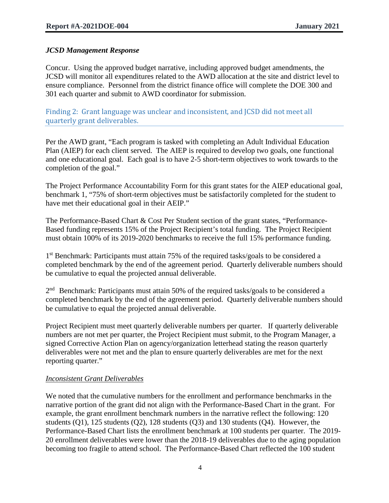### *JCSD Management Response*

Concur. Using the approved budget narrative, including approved budget amendments, the JCSD will monitor all expenditures related to the AWD allocation at the site and district level to ensure compliance. Personnel from the district finance office will complete the DOE 300 and 301 each quarter and submit to AWD coordinator for submission.

Finding 2: Grant language was unclear and inconsistent, and JCSD did not meet all quarterly grant deliverables.

Per the AWD grant, "Each program is tasked with completing an Adult Individual Education Plan (AIEP) for each client served. The AIEP is required to develop two goals, one functional and one educational goal. Each goal is to have 2-5 short-term objectives to work towards to the completion of the goal."

The Project Performance Accountability Form for this grant states for the AIEP educational goal, benchmark 1, "75% of short-term objectives must be satisfactorily completed for the student to have met their educational goal in their AEIP."

The Performance-Based Chart & Cost Per Student section of the grant states, "Performance-Based funding represents 15% of the Project Recipient's total funding. The Project Recipient must obtain 100% of its 2019-2020 benchmarks to receive the full 15% performance funding.

1<sup>st</sup> Benchmark: Participants must attain 75% of the required tasks/goals to be considered a completed benchmark by the end of the agreement period. Quarterly deliverable numbers should be cumulative to equal the projected annual deliverable.

2<sup>nd</sup> Benchmark: Participants must attain 50% of the required tasks/goals to be considered a completed benchmark by the end of the agreement period. Quarterly deliverable numbers should be cumulative to equal the projected annual deliverable.

Project Recipient must meet quarterly deliverable numbers per quarter. If quarterly deliverable numbers are not met per quarter, the Project Recipient must submit, to the Program Manager, a signed Corrective Action Plan on agency/organization letterhead stating the reason quarterly deliverables were not met and the plan to ensure quarterly deliverables are met for the next reporting quarter."

#### *Inconsistent Grant Deliverables*

We noted that the cumulative numbers for the enrollment and performance benchmarks in the narrative portion of the grant did not align with the Performance-Based Chart in the grant. For example, the grant enrollment benchmark numbers in the narrative reflect the following: 120 students (Q1), 125 students (Q2), 128 students (Q3) and 130 students (Q4). However, the Performance-Based Chart lists the enrollment benchmark at 100 students per quarter. The 2019- 20 enrollment deliverables were lower than the 2018-19 deliverables due to the aging population becoming too fragile to attend school. The Performance-Based Chart reflected the 100 student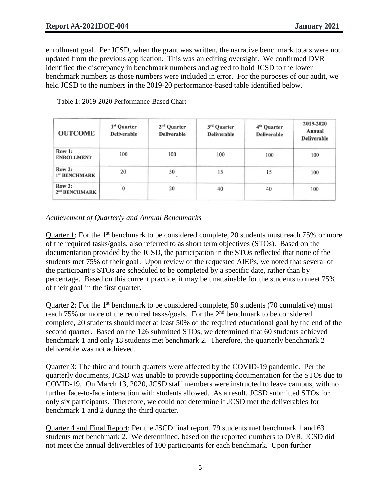enrollment goal. Per JCSD, when the grant was written, the narrative benchmark totals were not updated from the previous application. This was an editing oversight. We confirmed DVR identified the discrepancy in benchmark numbers and agreed to hold JCSD to the lower benchmark numbers as those numbers were included in error. For the purposes of our audit, we held JCSD to the numbers in the 2019-20 performance-based table identified below.

#### Table 1: 2019-2020 Performance-Based Chart

| <b>OUTCOME</b>                      | 1 <sup>st</sup> Quarter<br>Deliverable | 2 <sup>nd</sup> Quarter<br><b>Deliverable</b> | 3rd Quarter<br>Deliverable | 4 <sup>th</sup> Quarter<br>Deliverable | 2019-2020<br>Annual<br>Deliverable |
|-------------------------------------|----------------------------------------|-----------------------------------------------|----------------------------|----------------------------------------|------------------------------------|
| Row 1:<br><b>ENROLLMENT</b>         | 100                                    | 100                                           | 100                        | 100                                    | 100                                |
| Row 2:<br><sup>1st</sup> BENCHMARK  | 20                                     | 50                                            | 15                         | 15                                     | 100                                |
| Row 3:<br>2 <sup>nd</sup> BENCHMARK | 0                                      | 20                                            | 40                         | 40                                     | 100                                |

### *Achievement of Quarterly and Annual Benchmarks*

Quarter 1: For the 1<sup>st</sup> benchmark to be considered complete, 20 students must reach 75% or more of the required tasks/goals, also referred to as short term objectives (STOs). Based on the documentation provided by the JCSD, the participation in the STOs reflected that none of the students met 75% of their goal. Upon review of the requested AIEPs, we noted that several of the participant's STOs are scheduled to be completed by a specific date, rather than by percentage. Based on this current practice, it may be unattainable for the students to meet 75% of their goal in the first quarter.

Quarter 2: For the  $1<sup>st</sup>$  benchmark to be considered complete, 50 students (70 cumulative) must reach 75% or more of the required tasks/goals. For the 2<sup>nd</sup> benchmark to be considered complete, 20 students should meet at least 50% of the required educational goal by the end of the second quarter. Based on the 126 submitted STOs, we determined that 60 students achieved benchmark 1 and only 18 students met benchmark 2. Therefore, the quarterly benchmark 2 deliverable was not achieved.

Quarter 3: The third and fourth quarters were affected by the COVID-19 pandemic. Per the quarterly documents, JCSD was unable to provide supporting documentation for the STOs due to COVID-19. On March 13, 2020, JCSD staff members were instructed to leave campus, with no further face-to-face interaction with students allowed. As a result, JCSD submitted STOs for only six participants. Therefore, we could not determine if JCSD met the deliverables for benchmark 1 and 2 during the third quarter.

Quarter 4 and Final Report: Per the JSCD final report, 79 students met benchmark 1 and 63 students met benchmark 2. We determined, based on the reported numbers to DVR, JCSD did not meet the annual deliverables of 100 participants for each benchmark. Upon further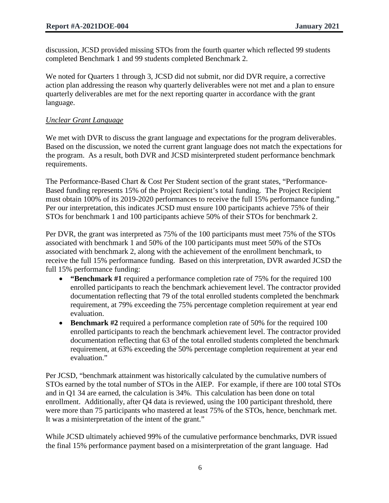discussion, JCSD provided missing STOs from the fourth quarter which reflected 99 students completed Benchmark 1 and 99 students completed Benchmark 2.

We noted for Quarters 1 through 3, JCSD did not submit, nor did DVR require, a corrective action plan addressing the reason why quarterly deliverables were not met and a plan to ensure quarterly deliverables are met for the next reporting quarter in accordance with the grant language.

## *Unclear Grant Language*

We met with DVR to discuss the grant language and expectations for the program deliverables. Based on the discussion, we noted the current grant language does not match the expectations for the program. As a result, both DVR and JCSD misinterpreted student performance benchmark requirements.

The Performance-Based Chart & Cost Per Student section of the grant states, "Performance-Based funding represents 15% of the Project Recipient's total funding. The Project Recipient must obtain 100% of its 2019-2020 performances to receive the full 15% performance funding." Per our interpretation, this indicates JCSD must ensure 100 participants achieve 75% of their STOs for benchmark 1 and 100 participants achieve 50% of their STOs for benchmark 2.

Per DVR, the grant was interpreted as 75% of the 100 participants must meet 75% of the STOs associated with benchmark 1 and 50% of the 100 participants must meet 50% of the STOs associated with benchmark 2, along with the achievement of the enrollment benchmark, to receive the full 15% performance funding. Based on this interpretation, DVR awarded JCSD the full 15% performance funding:

- **"Benchmark #1** required a performance completion rate of 75% for the required 100 enrolled participants to reach the benchmark achievement level. The contractor provided documentation reflecting that 79 of the total enrolled students completed the benchmark requirement, at 79% exceeding the 75% percentage completion requirement at year end evaluation.
- **Benchmark #2** required a performance completion rate of 50% for the required 100 enrolled participants to reach the benchmark achievement level. The contractor provided documentation reflecting that 63 of the total enrolled students completed the benchmark requirement, at 63% exceeding the 50% percentage completion requirement at year end evaluation."

Per JCSD, "benchmark attainment was historically calculated by the cumulative numbers of STOs earned by the total number of STOs in the AIEP. For example, if there are 100 total STOs and in Q1 34 are earned, the calculation is 34%. This calculation has been done on total enrollment. Additionally, after Q4 data is reviewed, using the 100 participant threshold, there were more than 75 participants who mastered at least 75% of the STOs, hence, benchmark met. It was a misinterpretation of the intent of the grant."

While JCSD ultimately achieved 99% of the cumulative performance benchmarks, DVR issued the final 15% performance payment based on a misinterpretation of the grant language. Had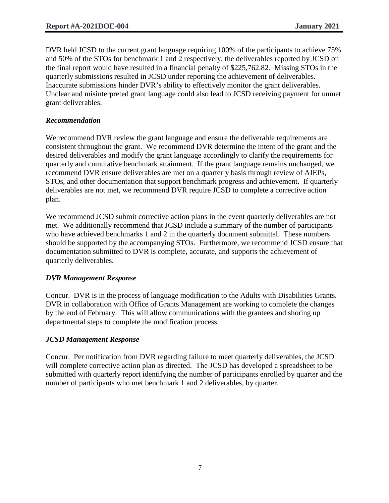DVR held JCSD to the current grant language requiring 100% of the participants to achieve 75% and 50% of the STOs for benchmark 1 and 2 respectively, the deliverables reported by JCSD on the final report would have resulted in a financial penalty of \$225,762.82. Missing STOs in the quarterly submissions resulted in JCSD under reporting the achievement of deliverables. Inaccurate submissions hinder DVR's ability to effectively monitor the grant deliverables. Unclear and misinterpreted grant language could also lead to JCSD receiving payment for unmet grant deliverables.

### *Recommendation*

We recommend DVR review the grant language and ensure the deliverable requirements are consistent throughout the grant. We recommend DVR determine the intent of the grant and the desired deliverables and modify the grant language accordingly to clarify the requirements for quarterly and cumulative benchmark attainment. If the grant language remains unchanged, we recommend DVR ensure deliverables are met on a quarterly basis through review of AIEPs, STOs, and other documentation that support benchmark progress and achievement. If quarterly deliverables are not met, we recommend DVR require JCSD to complete a corrective action plan.

We recommend JCSD submit corrective action plans in the event quarterly deliverables are not met. We additionally recommend that JCSD include a summary of the number of participants who have achieved benchmarks 1 and 2 in the quarterly document submittal. These numbers should be supported by the accompanying STOs. Furthermore, we recommend JCSD ensure that documentation submitted to DVR is complete, accurate, and supports the achievement of quarterly deliverables.

### *DVR Management Response*

Concur. DVR is in the process of language modification to the Adults with Disabilities Grants. DVR in collaboration with Office of Grants Management are working to complete the changes by the end of February. This will allow communications with the grantees and shoring up departmental steps to complete the modification process.

### *JCSD Management Response*

Concur. Per notification from DVR regarding failure to meet quarterly deliverables, the JCSD will complete corrective action plan as directed. The JCSD has developed a spreadsheet to be submitted with quarterly report identifying the number of participants enrolled by quarter and the number of participants who met benchmark 1 and 2 deliverables, by quarter.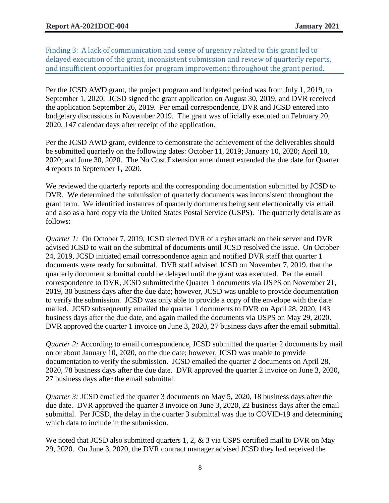Finding 3: A lack of communication and sense of urgency related to this grant led to delayed execution of the grant, inconsistent submission and review of quarterly reports, and insufficient opportunities for program improvement throughout the grant period.

Per the JCSD AWD grant, the project program and budgeted period was from July 1, 2019, to September 1, 2020. JCSD signed the grant application on August 30, 2019, and DVR received the application September 26, 2019. Per email correspondence, DVR and JCSD entered into budgetary discussions in November 2019. The grant was officially executed on February 20, 2020, 147 calendar days after receipt of the application.

Per the JCSD AWD grant, evidence to demonstrate the achievement of the deliverables should be submitted quarterly on the following dates: October 11, 2019; January 10, 2020; April 10, 2020; and June 30, 2020. The No Cost Extension amendment extended the due date for Quarter 4 reports to September 1, 2020.

We reviewed the quarterly reports and the corresponding documentation submitted by JCSD to DVR. We determined the submission of quarterly documents was inconsistent throughout the grant term. We identified instances of quarterly documents being sent electronically via email and also as a hard copy via the United States Postal Service (USPS). The quarterly details are as follows:

*Quarter 1:* On October 7, 2019, JCSD alerted DVR of a cyberattack on their server and DVR advised JCSD to wait on the submittal of documents until JCSD resolved the issue. On October 24, 2019, JCSD initiated email correspondence again and notified DVR staff that quarter 1 documents were ready for submittal. DVR staff advised JCSD on November 7, 2019, that the quarterly document submittal could be delayed until the grant was executed. Per the email correspondence to DVR, JCSD submitted the Quarter 1 documents via USPS on November 21, 2019, 30 business days after the due date; however, JCSD was unable to provide documentation to verify the submission. JCSD was only able to provide a copy of the envelope with the date mailed. JCSD subsequently emailed the quarter 1 documents to DVR on April 28, 2020, 143 business days after the due date, and again mailed the documents via USPS on May 29, 2020. DVR approved the quarter 1 invoice on June 3, 2020, 27 business days after the email submittal.

*Quarter 2:* According to email correspondence, JCSD submitted the quarter 2 documents by mail on or about January 10, 2020, on the due date; however, JCSD was unable to provide documentation to verify the submission. JCSD emailed the quarter 2 documents on April 28, 2020, 78 business days after the due date. DVR approved the quarter 2 invoice on June 3, 2020, 27 business days after the email submittal.

*Quarter 3:* JCSD emailed the quarter 3 documents on May 5, 2020, 18 business days after the due date. DVR approved the quarter 3 invoice on June 3, 2020, 22 business days after the email submittal. Per JCSD, the delay in the quarter 3 submittal was due to COVID-19 and determining which data to include in the submission.

We noted that JCSD also submitted quarters 1, 2, & 3 via USPS certified mail to DVR on May 29, 2020. On June 3, 2020, the DVR contract manager advised JCSD they had received the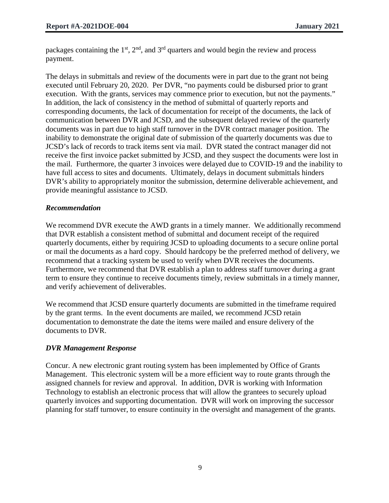packages containing the  $1<sup>st</sup>$ ,  $2<sup>nd</sup>$ , and  $3<sup>rd</sup>$  quarters and would begin the review and process payment.

The delays in submittals and review of the documents were in part due to the grant not being executed until February 20, 2020. Per DVR, "no payments could be disbursed prior to grant execution. With the grants, services may commence prior to execution, but not the payments." In addition, the lack of consistency in the method of submittal of quarterly reports and corresponding documents, the lack of documentation for receipt of the documents, the lack of communication between DVR and JCSD, and the subsequent delayed review of the quarterly documents was in part due to high staff turnover in the DVR contract manager position. The inability to demonstrate the original date of submission of the quarterly documents was due to JCSD's lack of records to track items sent via mail. DVR stated the contract manager did not receive the first invoice packet submitted by JCSD, and they suspect the documents were lost in the mail. Furthermore, the quarter 3 invoices were delayed due to COVID-19 and the inability to have full access to sites and documents. Ultimately, delays in document submittals hinders DVR's ability to appropriately monitor the submission, determine deliverable achievement, and provide meaningful assistance to JCSD.

# *Recommendation*

We recommend DVR execute the AWD grants in a timely manner. We additionally recommend that DVR establish a consistent method of submittal and document receipt of the required quarterly documents, either by requiring JCSD to uploading documents to a secure online portal or mail the documents as a hard copy. Should hardcopy be the preferred method of delivery, we recommend that a tracking system be used to verify when DVR receives the documents. Furthermore, we recommend that DVR establish a plan to address staff turnover during a grant term to ensure they continue to receive documents timely, review submittals in a timely manner, and verify achievement of deliverables.

We recommend that JCSD ensure quarterly documents are submitted in the timeframe required by the grant terms. In the event documents are mailed, we recommend JCSD retain documentation to demonstrate the date the items were mailed and ensure delivery of the documents to DVR.

# *DVR Management Response*

Concur. A new electronic grant routing system has been implemented by Office of Grants Management. This electronic system will be a more efficient way to route grants through the assigned channels for review and approval. In addition, DVR is working with Information Technology to establish an electronic process that will allow the grantees to securely upload quarterly invoices and supporting documentation. DVR will work on improving the successor planning for staff turnover, to ensure continuity in the oversight and management of the grants.